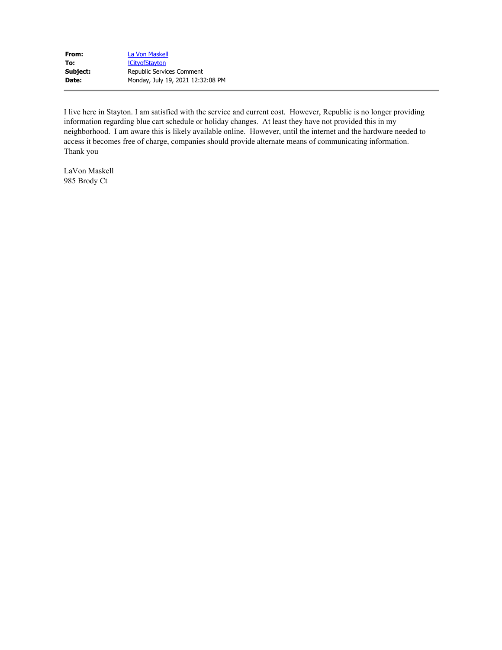| From:    | La Von Maskell                    |
|----------|-----------------------------------|
| To:      | !CityofStayton                    |
| Subject: | Republic Services Comment         |
| Date:    | Monday, July 19, 2021 12:32:08 PM |

I live here in Stayton. I am satisfied with the service and current cost. However, Republic is no longer providing information regarding blue cart schedule or holiday changes. At least they have not provided this in my neighborhood. I am aware this is likely available online. However, until the internet and the hardware needed to access it becomes free of charge, companies should provide alternate means of communicating information. Thank you

LaVon Maskell 985 Brody Ct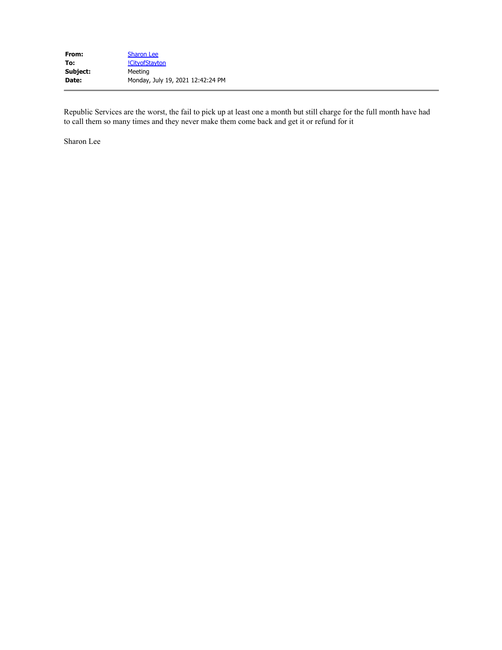Republic Services are the worst, the fail to pick up at least one a month but still charge for the full month have had to call them so many times and they never make them come back and get it or refund for it

Sharon Lee